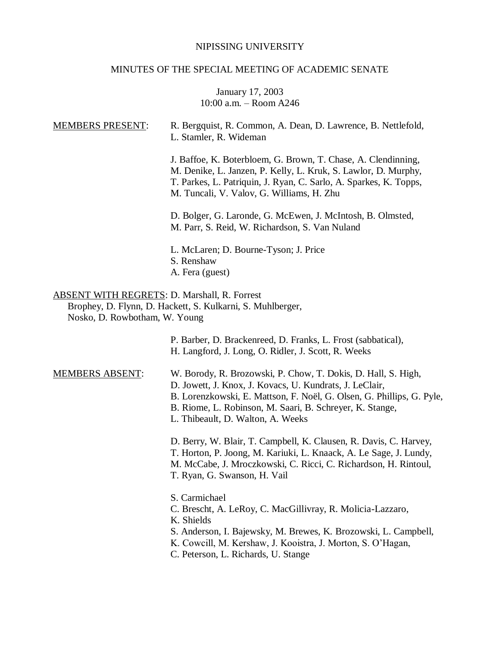### NIPISSING UNIVERSITY

### MINUTES OF THE SPECIAL MEETING OF ACADEMIC SENATE

### January 17, 2003 10:00 a.m. – Room A246

| <b>MEMBERS PRESENT:</b>                                                              | R. Bergquist, R. Common, A. Dean, D. Lawrence, B. Nettlefold,<br>L. Stamler, R. Wideman                                                                                                                                                           |
|--------------------------------------------------------------------------------------|---------------------------------------------------------------------------------------------------------------------------------------------------------------------------------------------------------------------------------------------------|
|                                                                                      | J. Baffoe, K. Boterbloem, G. Brown, T. Chase, A. Clendinning,<br>M. Denike, L. Janzen, P. Kelly, L. Kruk, S. Lawlor, D. Murphy,<br>T. Parkes, L. Patriquin, J. Ryan, C. Sarlo, A. Sparkes, K. Topps,<br>M. Tuncali, V. Valov, G. Williams, H. Zhu |
|                                                                                      | D. Bolger, G. Laronde, G. McEwen, J. McIntosh, B. Olmsted,<br>M. Parr, S. Reid, W. Richardson, S. Van Nuland                                                                                                                                      |
|                                                                                      | L. McLaren; D. Bourne-Tyson; J. Price<br>S. Renshaw<br>A. Fera (guest)                                                                                                                                                                            |
| <b>ABSENT WITH REGRETS: D. Marshall, R. Forrest</b><br>Nosko, D. Rowbotham, W. Young | Brophey, D. Flynn, D. Hackett, S. Kulkarni, S. Muhlberger,                                                                                                                                                                                        |
|                                                                                      | P. Barber, D. Brackenreed, D. Franks, L. Frost (sabbatical),<br>H. Langford, J. Long, O. Ridler, J. Scott, R. Weeks                                                                                                                               |
| <b>MEMBERS ABSENT:</b>                                                               | W. Borody, R. Brozowski, P. Chow, T. Dokis, D. Hall, S. High,<br>D. Jowett, J. Knox, J. Kovacs, U. Kundrats, J. LeClair,<br>B. Lorenzkowski, E. Mattson, F. Noël, G. Olsen, G. Phillips, G. Pyle,<br>$\mathbf{M} \cap \mathbf{N} \cap \mathbf{N}$ |

B. Riome, L. Robinson, M. Saari, B. Schreyer, K. Stange,

L. Thibeault, D. Walton, A. Weeks

D. Berry, W. Blair, T. Campbell, K. Clausen, R. Davis, C. Harvey, T. Horton, P. Joong, M. Kariuki, L. Knaack, A. Le Sage, J. Lundy, M. McCabe, J. Mroczkowski, C. Ricci, C. Richardson, H. Rintoul, T. Ryan, G. Swanson, H. Vail

S. Carmichael

- C. Brescht, A. LeRoy, C. MacGillivray, R. Molicia-Lazzaro,
- K. Shields
- S. Anderson, I. Bajewsky, M. Brewes, K. Brozowski, L. Campbell,
- K. Cowcill, M. Kershaw, J. Kooistra, J. Morton, S. O'Hagan,
- C. Peterson, L. Richards, U. Stange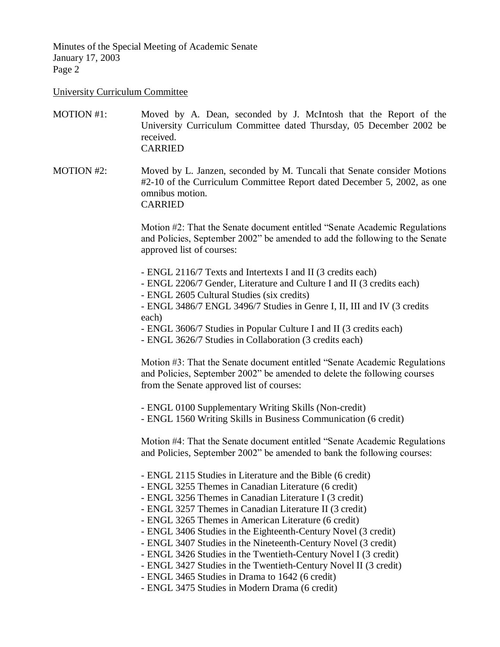University Curriculum Committee

MOTION #1: Moved by A. Dean, seconded by J. McIntosh that the Report of the University Curriculum Committee dated Thursday, 05 December 2002 be received. CARRIED

MOTION #2: Moved by L. Janzen, seconded by M. Tuncali that Senate consider Motions #2-10 of the Curriculum Committee Report dated December 5, 2002, as one omnibus motion. CARRIED

> Motion #2: That the Senate document entitled "Senate Academic Regulations and Policies, September 2002" be amended to add the following to the Senate approved list of courses:

- ENGL 2116/7 Texts and Intertexts I and II (3 credits each)
- ENGL 2206/7 Gender, Literature and Culture I and II (3 credits each)
- ENGL 2605 Cultural Studies (six credits)

- ENGL 3486/7 ENGL 3496/7 Studies in Genre I, II, III and IV (3 credits each)

- ENGL 3606/7 Studies in Popular Culture I and II (3 credits each)
- ENGL 3626/7 Studies in Collaboration (3 credits each)

Motion #3: That the Senate document entitled "Senate Academic Regulations and Policies, September 2002" be amended to delete the following courses from the Senate approved list of courses:

- ENGL 0100 Supplementary Writing Skills (Non-credit)

- ENGL 1560 Writing Skills in Business Communication (6 credit)

Motion #4: That the Senate document entitled "Senate Academic Regulations and Policies, September 2002" be amended to bank the following courses:

- ENGL 2115 Studies in Literature and the Bible (6 credit)
- ENGL 3255 Themes in Canadian Literature (6 credit)
- ENGL 3256 Themes in Canadian Literature I (3 credit)
- ENGL 3257 Themes in Canadian Literature II (3 credit)
- ENGL 3265 Themes in American Literature (6 credit)
- ENGL 3406 Studies in the Eighteenth-Century Novel (3 credit)
- ENGL 3407 Studies in the Nineteenth-Century Novel (3 credit)
- ENGL 3426 Studies in the Twentieth-Century Novel I (3 credit)
- ENGL 3427 Studies in the Twentieth-Century Novel II (3 credit)
- ENGL 3465 Studies in Drama to 1642 (6 credit)
- ENGL 3475 Studies in Modern Drama (6 credit)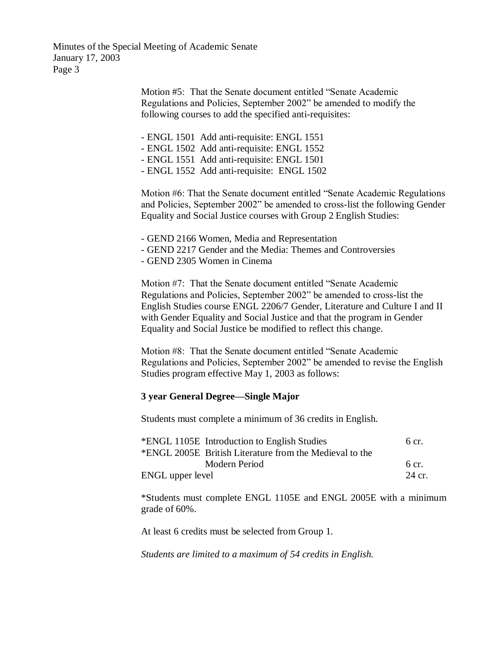> Motion #5: That the Senate document entitled "Senate Academic Regulations and Policies, September 2002" be amended to modify the following courses to add the specified anti-requisites:

- ENGL 1501 Add anti-requisite: ENGL 1551

- ENGL 1502 Add anti-requisite: ENGL 1552

- ENGL 1551 Add anti-requisite: ENGL 1501

- ENGL 1552 Add anti-requisite: ENGL 1502

Motion #6: That the Senate document entitled "Senate Academic Regulations and Policies, September 2002" be amended to cross-list the following Gender Equality and Social Justice courses with Group 2 English Studies:

- GEND 2166 Women, Media and Representation

- GEND 2217 Gender and the Media: Themes and Controversies

- GEND 2305 Women in Cinema

Motion #7: That the Senate document entitled "Senate Academic Regulations and Policies, September 2002" be amended to cross-list the English Studies course ENGL 2206/7 Gender, Literature and Culture I and II with Gender Equality and Social Justice and that the program in Gender Equality and Social Justice be modified to reflect this change.

Motion #8: That the Senate document entitled "Senate Academic Regulations and Policies, September 2002" be amended to revise the English Studies program effective May 1, 2003 as follows:

### **3 year General Degree—Single Major**

Students must complete a minimum of 36 credits in English.

|                  | *ENGL 1105E Introduction to English Studies             | 6 cr.  |
|------------------|---------------------------------------------------------|--------|
|                  | *ENGL 2005E British Literature from the Medieval to the |        |
|                  | Modern Period                                           | 6 cr.  |
| ENGL upper level |                                                         | 24 cr. |

\*Students must complete ENGL 1105E and ENGL 2005E with a minimum grade of 60%.

At least 6 credits must be selected from Group 1.

*Students are limited to a maximum of 54 credits in English.*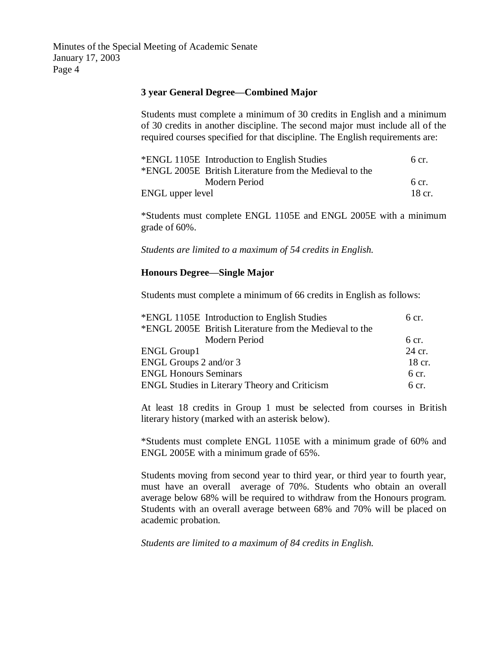### **3 year General Degree—Combined Major**

Students must complete a minimum of 30 credits in English and a minimum of 30 credits in another discipline. The second major must include all of the required courses specified for that discipline. The English requirements are:

| *ENGL 1105E Introduction to English Studies             | 6 cr.  |
|---------------------------------------------------------|--------|
| *ENGL 2005E British Literature from the Medieval to the |        |
| Modern Period                                           | 6 cr.  |
| ENGL upper level                                        | 18 cr. |

\*Students must complete ENGL 1105E and ENGL 2005E with a minimum grade of 60%.

*Students are limited to a maximum of 54 credits in English.*

### **Honours Degree—Single Major**

Students must complete a minimum of 66 credits in English as follows:

| *ENGL 1105E Introduction to English Studies             | 6 cr.            |
|---------------------------------------------------------|------------------|
| *ENGL 2005E British Literature from the Medieval to the |                  |
| Modern Period                                           | 6 cr.            |
| <b>ENGL Group1</b>                                      | 24 cr.           |
| ENGL Groups 2 and/or 3                                  | 18 cr.           |
| <b>ENGL Honours Seminars</b>                            | 6 cr.            |
| <b>ENGL Studies in Literary Theory and Criticism</b>    | 6 <sub>cr.</sub> |

At least 18 credits in Group 1 must be selected from courses in British literary history (marked with an asterisk below).

\*Students must complete ENGL 1105E with a minimum grade of 60% and ENGL 2005E with a minimum grade of 65%.

Students moving from second year to third year, or third year to fourth year, must have an overall average of 70%. Students who obtain an overall average below 68% will be required to withdraw from the Honours program. Students with an overall average between 68% and 70% will be placed on academic probation.

*Students are limited to a maximum of 84 credits in English.*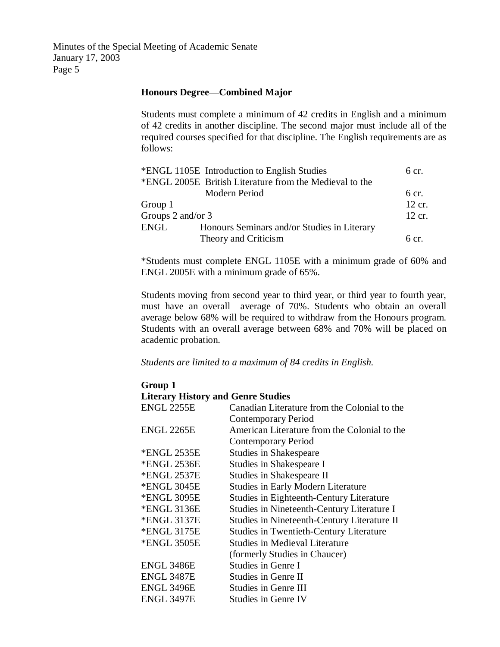### **Honours Degree—Combined Major**

Students must complete a minimum of 42 credits in English and a minimum of 42 credits in another discipline. The second major must include all of the required courses specified for that discipline. The English requirements are as follows:

|                   | *ENGL 1105E Introduction to English Studies             | $6 \text{ cr}$ . |
|-------------------|---------------------------------------------------------|------------------|
|                   | *ENGL 2005E British Literature from the Medieval to the |                  |
|                   | Modern Period                                           | $6 \text{ cr}$ . |
| Group 1           |                                                         | 12 cr.           |
| Groups 2 and/or 3 |                                                         | 12 cr.           |
| ENGL              | Honours Seminars and/or Studies in Literary             |                  |
|                   | Theory and Criticism                                    | 6 <sub>cr.</sub> |

\*Students must complete ENGL 1105E with a minimum grade of 60% and ENGL 2005E with a minimum grade of 65%.

Students moving from second year to third year, or third year to fourth year, must have an overall average of 70%. Students who obtain an overall average below 68% will be required to withdraw from the Honours program. Students with an overall average between 68% and 70% will be placed on academic probation.

*Students are limited to a maximum of 84 credits in English.*

### **Group 1 Literary History and Genre Studies** ENGL 2255E Canadian Literature from the Colonial to the Contemporary Period ENGL 2265E American Literature from the Colonial to the Contemporary Period \*ENGL 2535E Studies in Shakespeare \*ENGL 2536E Studies in Shakespeare I \*ENGL 2537E Studies in Shakespeare II \*ENGL 3045E Studies in Early Modern Literature \*ENGL 3095E Studies in Eighteenth-Century Literature \*ENGL 3136E Studies in Nineteenth-Century Literature I \*ENGL 3137E Studies in Nineteenth-Century Literature II \*ENGL 3175E Studies in Twentieth-Century Literature \*ENGL 3505E Studies in Medieval Literature (formerly Studies in Chaucer) ENGL 3486E Studies in Genre I ENGL 3487E Studies in Genre II ENGL 3496E Studies in Genre III ENGL 3497E Studies in Genre IV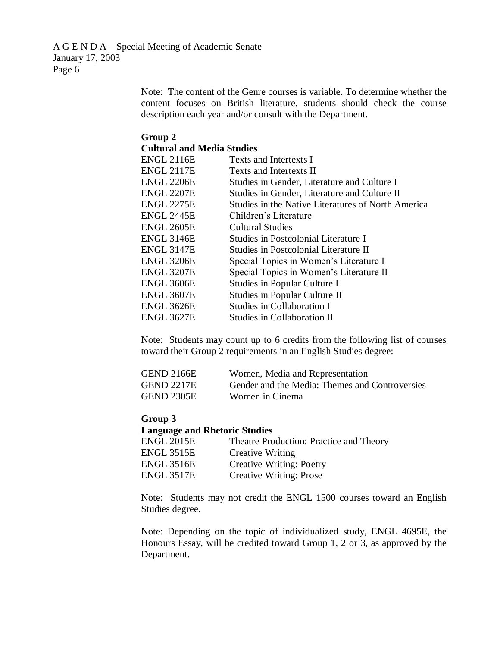A G E N D A – Special Meeting of Academic Senate January 17, 2003 Page 6

> Note: The content of the Genre courses is variable. To determine whether the content focuses on British literature, students should check the course description each year and/or consult with the Department.

#### **Group 2 Cultural and Media Studies**

| <b>ENGL 2116E</b> | Texts and Intertexts I                             |
|-------------------|----------------------------------------------------|
| <b>ENGL 2117E</b> | Texts and Intertexts II                            |
| <b>ENGL 2206E</b> | Studies in Gender, Literature and Culture I        |
| ENGL 2207E        | Studies in Gender, Literature and Culture II       |
| <b>ENGL 2275E</b> | Studies in the Native Literatures of North America |
| ENGL 2445E        | Children's Literature                              |
| ENGL 2605E        | <b>Cultural Studies</b>                            |
| <b>ENGL 3146E</b> | Studies in Postcolonial Literature I               |
| <b>ENGL 3147E</b> | Studies in Postcolonial Literature II              |
| ENGL 3206E        | Special Topics in Women's Literature I             |
| ENGL 3207E        | Special Topics in Women's Literature II            |
| ENGL 3606E        | Studies in Popular Culture I                       |
| ENGL 3607E        | Studies in Popular Culture II                      |
| ENGL 3626E        | Studies in Collaboration I                         |
| <b>ENGL 3627E</b> | Studies in Collaboration II                        |
|                   |                                                    |

Note: Students may count up to 6 credits from the following list of courses toward their Group 2 requirements in an English Studies degree:

| <b>GEND 2166E</b> | Women, Media and Representation                |
|-------------------|------------------------------------------------|
| <b>GEND 2217E</b> | Gender and the Media: Themes and Controversies |
| <b>GEND 2305E</b> | Women in Cinema                                |

#### **Group 3**

#### **Language and Rhetoric Studies**

| <b>ENGL 2015E</b> | Theatre Production: Practice and Theory |
|-------------------|-----------------------------------------|
| <b>ENGL 3515E</b> | <b>Creative Writing</b>                 |
| <b>ENGL 3516E</b> | <b>Creative Writing: Poetry</b>         |
| <b>ENGL 3517E</b> | <b>Creative Writing: Prose</b>          |

Note: Students may not credit the ENGL 1500 courses toward an English Studies degree.

Note: Depending on the topic of individualized study, ENGL 4695E, the Honours Essay, will be credited toward Group 1, 2 or 3, as approved by the Department.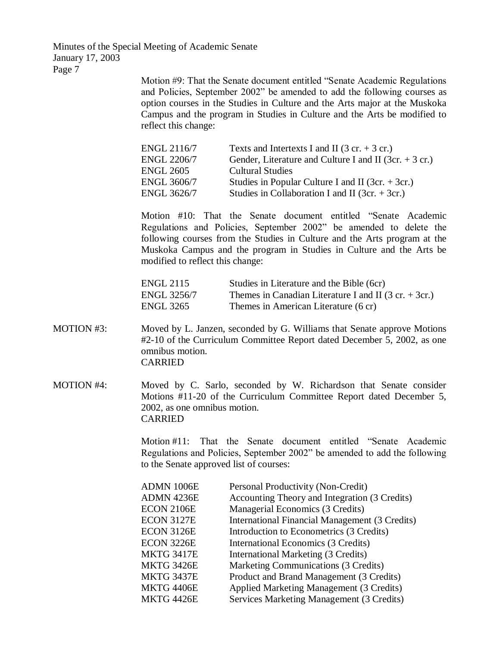> Motion #9: That the Senate document entitled "Senate Academic Regulations and Policies, September 2002" be amended to add the following courses as option courses in the Studies in Culture and the Arts major at the Muskoka Campus and the program in Studies in Culture and the Arts be modified to reflect this change:

| Texts and Intertexts I and II $(3 \text{ cr.} + 3 \text{ cr.})$ |
|-----------------------------------------------------------------|
| Gender, Literature and Culture I and II (3cr. $+$ 3 cr.)        |
| <b>Cultural Studies</b>                                         |
| Studies in Popular Culture I and II (3cr. $+$ 3cr.)             |
| Studies in Collaboration I and II (3cr. $+$ 3cr.)               |
|                                                                 |

Motion #10: That the Senate document entitled "Senate Academic Regulations and Policies, September 2002" be amended to delete the following courses from the Studies in Culture and the Arts program at the Muskoka Campus and the program in Studies in Culture and the Arts be modified to reflect this change:

| ENGL 2115   | Studies in Literature and the Bible (6cr)                               |
|-------------|-------------------------------------------------------------------------|
| ENGL 3256/7 | Themes in Canadian Literature I and II $(3 \text{ cr.} + 3 \text{cr.})$ |
| ENGL 3265   | Themes in American Literature (6 cr)                                    |

- MOTION #3: Moved by L. Janzen, seconded by G. Williams that Senate approve Motions #2-10 of the Curriculum Committee Report dated December 5, 2002, as one omnibus motion. CARRIED
- MOTION #4: Moved by C. Sarlo, seconded by W. Richardson that Senate consider Motions #11-20 of the Curriculum Committee Report dated December 5, 2002, as one omnibus motion. CARRIED

Motion #11: That the Senate document entitled "Senate Academic Regulations and Policies, September 2002" be amended to add the following to the Senate approved list of courses:

| <b>ADMN 1006E</b> | Personal Productivity (Non-Credit)             |
|-------------------|------------------------------------------------|
| ADMN 4236E        | Accounting Theory and Integration (3 Credits)  |
| <b>ECON 2106E</b> | Managerial Economics (3 Credits)               |
| <b>ECON 3127E</b> | International Financial Management (3 Credits) |
| ECON 3126E        | Introduction to Econometrics (3 Credits)       |
| ECON 3226E        | International Economics (3 Credits)            |
| MKTG 3417E        | International Marketing (3 Credits)            |
| MKTG 3426E        | Marketing Communications (3 Credits)           |
| MKTG 3437E        | Product and Brand Management (3 Credits)       |
| MKTG 4406E        | Applied Marketing Management (3 Credits)       |
| MKTG 4426E        | Services Marketing Management (3 Credits)      |
|                   |                                                |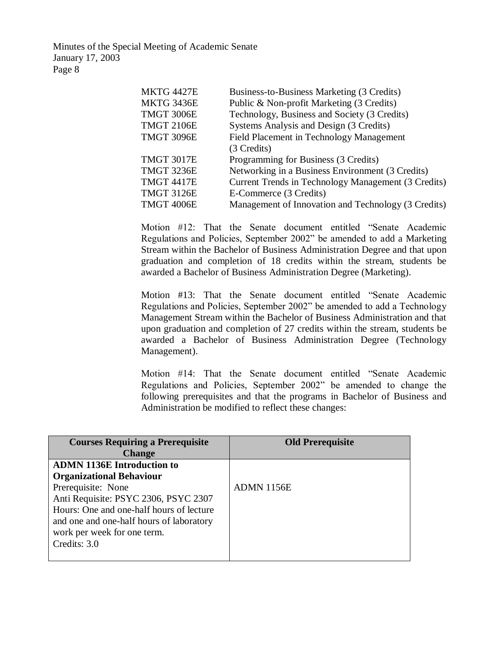| <b>MKTG 4427E</b> | Business-to-Business Marketing (3 Credits)          |
|-------------------|-----------------------------------------------------|
| <b>MKTG 3436E</b> | Public & Non-profit Marketing (3 Credits)           |
| <b>TMGT 3006E</b> | Technology, Business and Society (3 Credits)        |
| <b>TMGT 2106E</b> | Systems Analysis and Design (3 Credits)             |
| <b>TMGT 3096E</b> | Field Placement in Technology Management            |
|                   | (3 Credits)                                         |
| <b>TMGT 3017E</b> | Programming for Business (3 Credits)                |
| <b>TMGT 3236E</b> | Networking in a Business Environment (3 Credits)    |
| <b>TMGT 4417E</b> | Current Trends in Technology Management (3 Credits) |
| <b>TMGT 3126E</b> | E-Commerce (3 Credits)                              |
| <b>TMGT 4006E</b> | Management of Innovation and Technology (3 Credits) |

Motion #12: That the Senate document entitled "Senate Academic Regulations and Policies, September 2002" be amended to add a Marketing Stream within the Bachelor of Business Administration Degree and that upon graduation and completion of 18 credits within the stream, students be awarded a Bachelor of Business Administration Degree (Marketing).

Motion #13: That the Senate document entitled "Senate Academic Regulations and Policies, September 2002" be amended to add a Technology Management Stream within the Bachelor of Business Administration and that upon graduation and completion of 27 credits within the stream, students be awarded a Bachelor of Business Administration Degree (Technology Management).

Motion #14: That the Senate document entitled "Senate Academic Regulations and Policies, September 2002" be amended to change the following prerequisites and that the programs in Bachelor of Business and Administration be modified to reflect these changes:

| <b>Courses Requiring a Prerequisite</b><br><b>Change</b> | <b>Old Prerequisite</b> |
|----------------------------------------------------------|-------------------------|
| <b>ADMN 1136E Introduction to</b>                        |                         |
| <b>Organizational Behaviour</b>                          |                         |
| Prerequisite: None                                       | <b>ADMN 1156E</b>       |
| Anti Requisite: PSYC 2306, PSYC 2307                     |                         |
| Hours: One and one-half hours of lecture                 |                         |
| and one and one-half hours of laboratory                 |                         |
| work per week for one term.                              |                         |
| Credits: 3.0                                             |                         |
|                                                          |                         |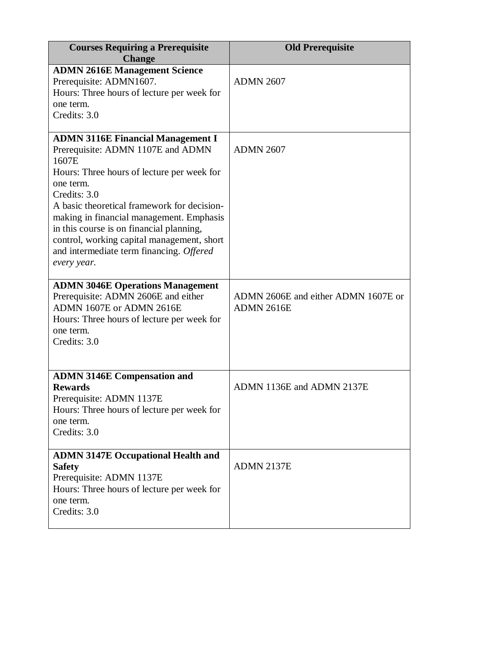| <b>Courses Requiring a Prerequisite</b><br><b>Change</b>                                                                                                                                                                                                                                                                                                                                                          | <b>Old Prerequisite</b>                                  |
|-------------------------------------------------------------------------------------------------------------------------------------------------------------------------------------------------------------------------------------------------------------------------------------------------------------------------------------------------------------------------------------------------------------------|----------------------------------------------------------|
| <b>ADMN 2616E Management Science</b><br>Prerequisite: ADMN1607.<br>Hours: Three hours of lecture per week for<br>one term.<br>Credits: 3.0                                                                                                                                                                                                                                                                        | <b>ADMN 2607</b>                                         |
| <b>ADMN 3116E Financial Management I</b><br>Prerequisite: ADMN 1107E and ADMN<br>1607E<br>Hours: Three hours of lecture per week for<br>one term.<br>Credits: 3.0<br>A basic theoretical framework for decision-<br>making in financial management. Emphasis<br>in this course is on financial planning,<br>control, working capital management, short<br>and intermediate term financing. Offered<br>every year. | <b>ADMN 2607</b>                                         |
| <b>ADMN 3046E Operations Management</b><br>Prerequisite: ADMN 2606E and either<br>ADMN 1607E or ADMN 2616E<br>Hours: Three hours of lecture per week for<br>one term.<br>Credits: 3.0                                                                                                                                                                                                                             | ADMN 2606E and either ADMN 1607E or<br><b>ADMN 2616E</b> |
| <b>ADMN 3146E Compensation and</b><br><b>Rewards</b><br>Prerequisite: ADMN 1137E<br>Hours: Three hours of lecture per week for<br>one term.<br>Credits: 3.0                                                                                                                                                                                                                                                       | ADMN 1136E and ADMN 2137E                                |
| <b>ADMN 3147E Occupational Health and</b><br><b>Safety</b><br>Prerequisite: ADMN 1137E<br>Hours: Three hours of lecture per week for<br>one term.<br>Credits: 3.0                                                                                                                                                                                                                                                 | <b>ADMN 2137E</b>                                        |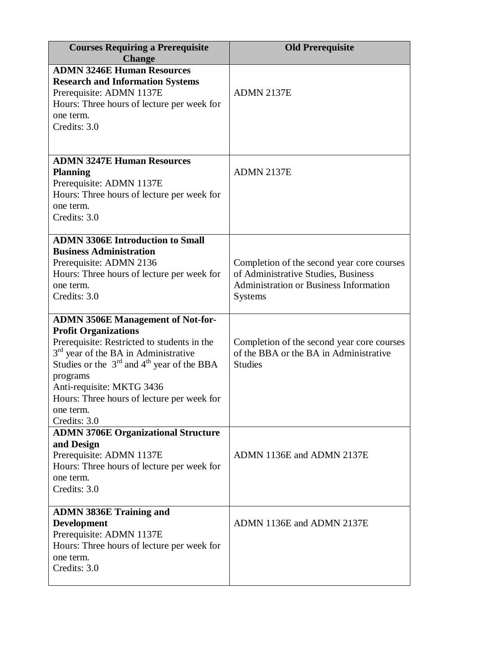| <b>Courses Requiring a Prerequisite</b><br><b>Change</b>                                                                                                                                                                                                                                                                                         | <b>Old Prerequisite</b>                                                                                                                              |
|--------------------------------------------------------------------------------------------------------------------------------------------------------------------------------------------------------------------------------------------------------------------------------------------------------------------------------------------------|------------------------------------------------------------------------------------------------------------------------------------------------------|
| <b>ADMN 3246E Human Resources</b><br><b>Research and Information Systems</b><br>Prerequisite: ADMN 1137E<br>Hours: Three hours of lecture per week for<br>one term.<br>Credits: 3.0                                                                                                                                                              | ADMN 2137E                                                                                                                                           |
| <b>ADMN 3247E Human Resources</b><br><b>Planning</b><br>Prerequisite: ADMN 1137E<br>Hours: Three hours of lecture per week for<br>one term.<br>Credits: 3.0                                                                                                                                                                                      | ADMN 2137E                                                                                                                                           |
| <b>ADMN 3306E Introduction to Small</b><br><b>Business Administration</b><br>Prerequisite: ADMN 2136<br>Hours: Three hours of lecture per week for<br>one term.<br>Credits: 3.0                                                                                                                                                                  | Completion of the second year core courses<br>of Administrative Studies, Business<br><b>Administration or Business Information</b><br><b>Systems</b> |
| <b>ADMN 3506E Management of Not-for-</b><br><b>Profit Organizations</b><br>Prerequisite: Restricted to students in the<br>$3rd$ year of the BA in Administrative<br>Studies or the $3rd$ and 4 <sup>th</sup> year of the BBA<br>programs<br>Anti-requisite: MKTG 3436<br>Hours: Three hours of lecture per week for<br>one term.<br>Credits: 3.0 | Completion of the second year core courses<br>of the BBA or the BA in Administrative<br><b>Studies</b>                                               |
| <b>ADMN 3706E Organizational Structure</b><br>and Design<br>Prerequisite: ADMN 1137E<br>Hours: Three hours of lecture per week for<br>one term.<br>Credits: 3.0                                                                                                                                                                                  | ADMN 1136E and ADMN 2137E                                                                                                                            |
| <b>ADMN 3836E Training and</b><br><b>Development</b><br>Prerequisite: ADMN 1137E<br>Hours: Three hours of lecture per week for<br>one term.<br>Credits: 3.0                                                                                                                                                                                      | ADMN 1136E and ADMN 2137E                                                                                                                            |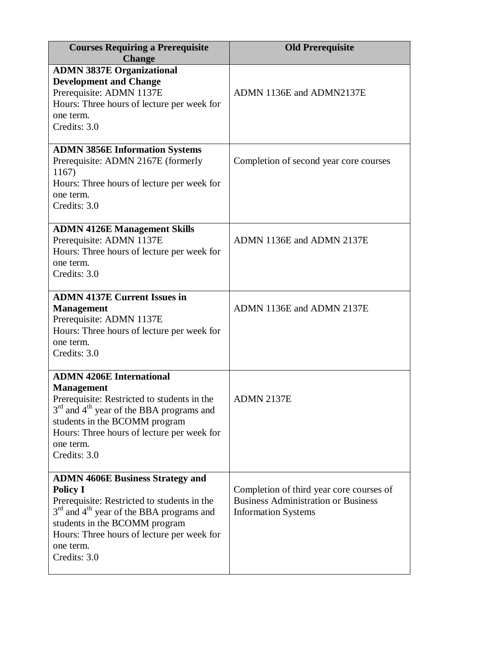| <b>Courses Requiring a Prerequisite</b><br><b>Change</b>                                                                                                                                                                                                                                  | <b>Old Prerequisite</b>                                                                                              |
|-------------------------------------------------------------------------------------------------------------------------------------------------------------------------------------------------------------------------------------------------------------------------------------------|----------------------------------------------------------------------------------------------------------------------|
| <b>ADMN 3837E Organizational</b><br><b>Development and Change</b><br>Prerequisite: ADMN 1137E<br>Hours: Three hours of lecture per week for<br>one term.<br>Credits: 3.0                                                                                                                  | ADMN 1136E and ADMN2137E                                                                                             |
| <b>ADMN 3856E Information Systems</b><br>Prerequisite: ADMN 2167E (formerly<br>1167)<br>Hours: Three hours of lecture per week for<br>one term.<br>Credits: 3.0                                                                                                                           | Completion of second year core courses                                                                               |
| <b>ADMN 4126E Management Skills</b><br>Prerequisite: ADMN 1137E<br>Hours: Three hours of lecture per week for<br>one term.<br>Credits: 3.0                                                                                                                                                | ADMN 1136E and ADMN 2137E                                                                                            |
| <b>ADMN 4137E Current Issues in</b><br><b>Management</b><br>Prerequisite: ADMN 1137E<br>Hours: Three hours of lecture per week for<br>one term.<br>Credits: 3.0                                                                                                                           | ADMN 1136E and ADMN 2137E                                                                                            |
| <b>ADMN 4206E International</b><br><b>Management</b><br>Prerequisite: Restricted to students in the<br>3 <sup>rd</sup> and 4 <sup>th</sup> year of the BBA programs and<br>students in the BCOMM program<br>Hours: Three hours of lecture per week for<br>one term.<br>Credits: 3.0       | ADMN 2137E                                                                                                           |
| <b>ADMN 4606E Business Strategy and</b><br><b>Policy I</b><br>Prerequisite: Restricted to students in the<br>3 <sup>rd</sup> and 4 <sup>th</sup> year of the BBA programs and<br>students in the BCOMM program<br>Hours: Three hours of lecture per week for<br>one term.<br>Credits: 3.0 | Completion of third year core courses of<br><b>Business Administration or Business</b><br><b>Information Systems</b> |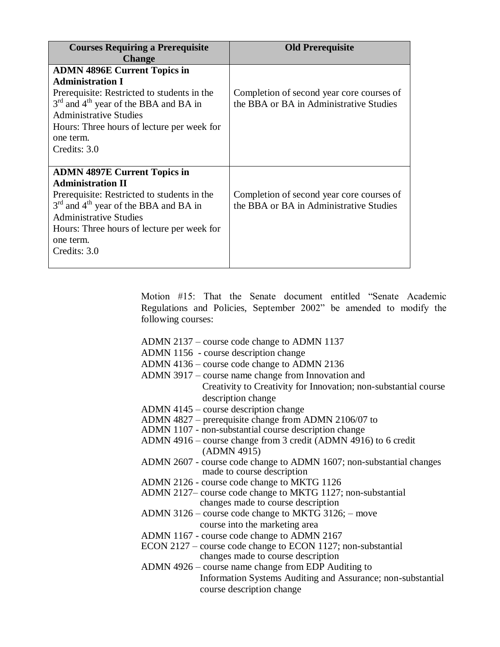| <b>Courses Requiring a Prerequisite</b><br><b>Change</b>                                                                                                                                                                                                                | <b>Old Prerequisite</b>                                                              |
|-------------------------------------------------------------------------------------------------------------------------------------------------------------------------------------------------------------------------------------------------------------------------|--------------------------------------------------------------------------------------|
| <b>ADMN 4896E Current Topics in</b><br><b>Administration I</b><br>Prerequisite: Restricted to students in the<br>$3rd$ and $4th$ year of the BBA and BA in<br><b>Administrative Studies</b>                                                                             | Completion of second year core courses of<br>the BBA or BA in Administrative Studies |
| Hours: Three hours of lecture per week for<br>one term.<br>Credits: 3.0                                                                                                                                                                                                 |                                                                                      |
| <b>ADMN 4897E Current Topics in</b><br><b>Administration II</b><br>Prerequisite: Restricted to students in the<br>$3rd$ and $4th$ year of the BBA and BA in<br><b>Administrative Studies</b><br>Hours: Three hours of lecture per week for<br>one term.<br>Credits: 3.0 | Completion of second year core courses of<br>the BBA or BA in Administrative Studies |

Motion #15: That the Senate document entitled "Senate Academic Regulations and Policies, September 2002" be amended to modify the following courses:

- ADMN 2137 course code change to ADMN 1137
- ADMN 1156 course description change
- ADMN 4136 course code change to ADMN 2136
- ADMN 3917 course name change from Innovation and Creativity to Creativity for Innovation; non-substantial course description change
- ADMN 4145 course description change
- ADMN 4827 prerequisite change from ADMN 2106/07 to
- ADMN 1107 non-substantial course description change
- ADMN 4916 course change from 3 credit (ADMN 4916) to 6 credit (ADMN 4915)
- ADMN 2607 course code change to ADMN 1607; non-substantial changes made to course description
- ADMN 2126 course code change to MKTG 1126
- ADMN 2127– course code change to MKTG 1127; non-substantial changes made to course description
- ADMN 3126 course code change to MKTG 3126; move course into the marketing area
- ADMN 1167 course code change to ADMN 2167
- ECON 2127 course code change to ECON 1127; non-substantial changes made to course description
- ADMN 4926 course name change from EDP Auditing to Information Systems Auditing and Assurance; non-substantial course description change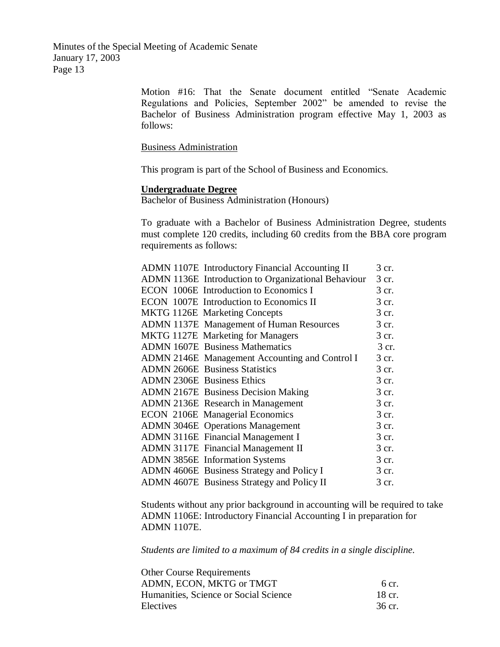> Motion #16: That the Senate document entitled "Senate Academic Regulations and Policies, September 2002" be amended to revise the Bachelor of Business Administration program effective May 1, 2003 as follows:

Business Administration

This program is part of the School of Business and Economics.

#### **Undergraduate Degree**

Bachelor of Business Administration (Honours)

To graduate with a Bachelor of Business Administration Degree, students must complete 120 credits, including 60 credits from the BBA core program requirements as follows:

| <b>ADMN 1107E</b> Introductory Financial Accounting II | 3 cr. |
|--------------------------------------------------------|-------|
| ADMN 1136E Introduction to Organizational Behaviour    | 3 cr. |
| ECON 1006E Introduction to Economics I                 | 3 cr. |
| ECON 1007E Introduction to Economics II                | 3 cr. |
| MKTG 1126E Marketing Concepts                          | 3 cr. |
| ADMN 1137E Management of Human Resources               | 3 cr. |
| MKTG 1127E Marketing for Managers                      | 3 cr. |
| <b>ADMN 1607E</b> Business Mathematics                 | 3 cr. |
| ADMN 2146E Management Accounting and Control I         | 3 cr. |
| <b>ADMN 2606E</b> Business Statistics                  | 3 cr. |
| <b>ADMN 2306E</b> Business Ethics                      | 3 cr. |
| <b>ADMN 2167E</b> Business Decision Making             | 3 cr. |
| <b>ADMN 2136E</b> Research in Management               | 3 cr. |
| <b>ECON 2106E Managerial Economics</b>                 | 3 cr. |
| <b>ADMN 3046E</b> Operations Management                | 3 cr. |
| <b>ADMN 3116E</b> Financial Management I               | 3 cr. |
| <b>ADMN 3117E</b> Financial Management II              | 3 cr. |
| <b>ADMN 3856E</b> Information Systems                  | 3 cr. |
| ADMN 4606E Business Strategy and Policy I              | 3 cr. |
| ADMN 4607E Business Strategy and Policy II             | 3 cr. |

Students without any prior background in accounting will be required to take ADMN 1106E: Introductory Financial Accounting I in preparation for ADMN 1107E.

*Students are limited to a maximum of 84 credits in a single discipline.*

| <b>Other Course Requirements</b>      |                  |
|---------------------------------------|------------------|
| ADMN, ECON, MKTG or TMGT              | $6 \text{ cr}$ . |
| Humanities, Science or Social Science | 18 cr.           |
| Electives                             | 36 cr.           |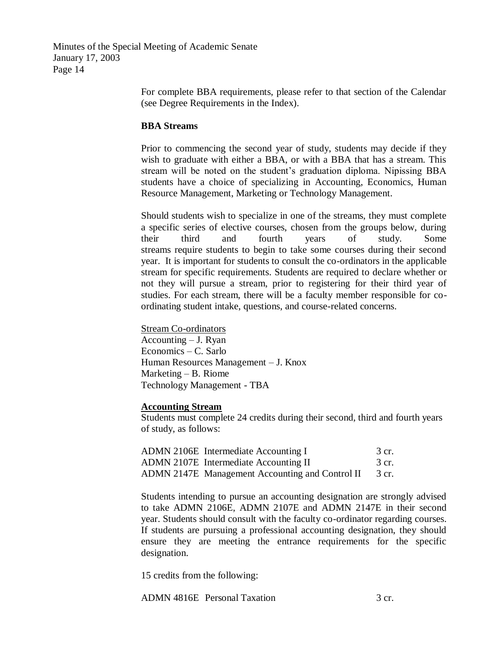> For complete BBA requirements, please refer to that section of the Calendar (see Degree Requirements in the Index).

### **BBA Streams**

Prior to commencing the second year of study, students may decide if they wish to graduate with either a BBA, or with a BBA that has a stream. This stream will be noted on the student's graduation diploma. Nipissing BBA students have a choice of specializing in Accounting, Economics, Human Resource Management, Marketing or Technology Management.

Should students wish to specialize in one of the streams, they must complete a specific series of elective courses, chosen from the groups below, during their third and fourth years of study. Some streams require students to begin to take some courses during their second year. It is important for students to consult the co-ordinators in the applicable stream for specific requirements. Students are required to declare whether or not they will pursue a stream, prior to registering for their third year of studies. For each stream, there will be a faculty member responsible for coordinating student intake, questions, and course-related concerns.

Stream Co-ordinators Accounting – J. Ryan Economics – C. Sarlo Human Resources Management – J. Knox Marketing – B. Riome Technology Management - TBA

#### **Accounting Stream**

Students must complete 24 credits during their second, third and fourth years of study, as follows:

| ADMN 2106E Intermediate Accounting I            | 3 cr. |
|-------------------------------------------------|-------|
| ADMN 2107E Intermediate Accounting II           | 3 cr. |
| ADMN 2147E Management Accounting and Control II | 3 cr. |

Students intending to pursue an accounting designation are strongly advised to take ADMN 2106E, ADMN 2107E and ADMN 2147E in their second year. Students should consult with the faculty co-ordinator regarding courses. If students are pursuing a professional accounting designation, they should ensure they are meeting the entrance requirements for the specific designation.

15 credits from the following:

ADMN 4816E Personal Taxation 3 cr.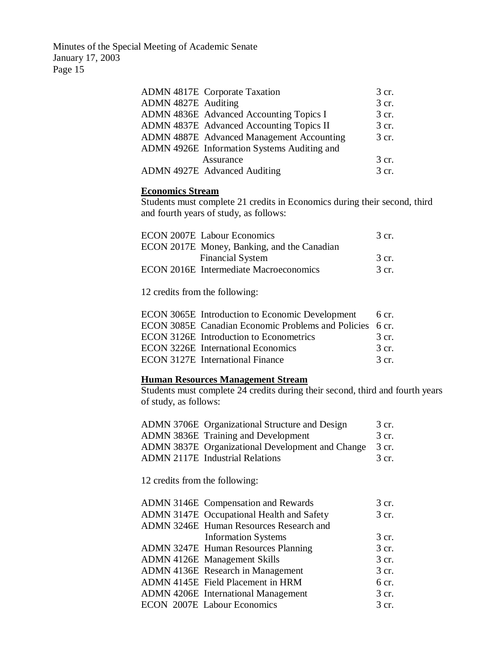|                     | <b>ADMN 4817E</b> Corporate Taxation             | 3 cr. |
|---------------------|--------------------------------------------------|-------|
| ADMN 4827E Auditing |                                                  | 3 cr. |
|                     | ADMN 4836E Advanced Accounting Topics I          | 3 cr. |
|                     | ADMN 4837E Advanced Accounting Topics II         | 3 cr. |
|                     | <b>ADMN 4887E</b> Advanced Management Accounting | 3 cr. |
|                     | ADMN 4926E Information Systems Auditing and      |       |
|                     | Assurance                                        | 3 cr. |
|                     | ADMN 4927E Advanced Auditing                     | 3 cr. |

### **Economics Stream**

Students must complete 21 credits in Economics during their second, third and fourth years of study, as follows:

| <b>ECON 2007E</b> Labour Economics            | 3 cr. |
|-----------------------------------------------|-------|
| ECON 2017E Money, Banking, and the Canadian   |       |
| <b>Financial System</b>                       | 3 cr. |
| <b>ECON 2016E</b> Intermediate Macroeconomics | 3 cr. |
|                                               |       |

12 credits from the following:

| ECON 3065E Introduction to Economic Development 6 cr.    |                   |
|----------------------------------------------------------|-------------------|
| ECON 3085E Canadian Economic Problems and Policies 6 cr. |                   |
| ECON 3126E Introduction to Econometrics                  | 3 cr.             |
| <b>ECON 3226E</b> International Economics                | 3 cr.             |
| <b>ECON 3127E</b> International Finance                  | $\mathcal{R}$ cr. |

## **Human Resources Management Stream**

Students must complete 24 credits during their second, third and fourth years of study, as follows:

| ADMN 3706E Organizational Structure and Design          | 3 cr. |
|---------------------------------------------------------|-------|
| ADMN 3836E Training and Development                     | 3 cr. |
| <b>ADMN 3837E</b> Organizational Development and Change | 3 cr. |
| <b>ADMN 2117E</b> Industrial Relations                  | 3 cr. |

12 credits from the following:

| ADMN 3146E Compensation and Rewards        | 3 cr. |
|--------------------------------------------|-------|
| ADMN 3147E Occupational Health and Safety  | 3 cr. |
| ADMN 3246E Human Resources Research and    |       |
| <b>Information Systems</b>                 | 3 cr. |
| <b>ADMN 3247E</b> Human Resources Planning | 3 cr. |
| <b>ADMN 4126E</b> Management Skills        | 3 cr. |
| ADMN 4136E Research in Management          | 3 cr. |
| ADMN 4145E Field Placement in HRM          | 6 cr. |
| <b>ADMN 4206E</b> International Management | 3 cr. |
| ECON 2007E Labour Economics                | 3 cr. |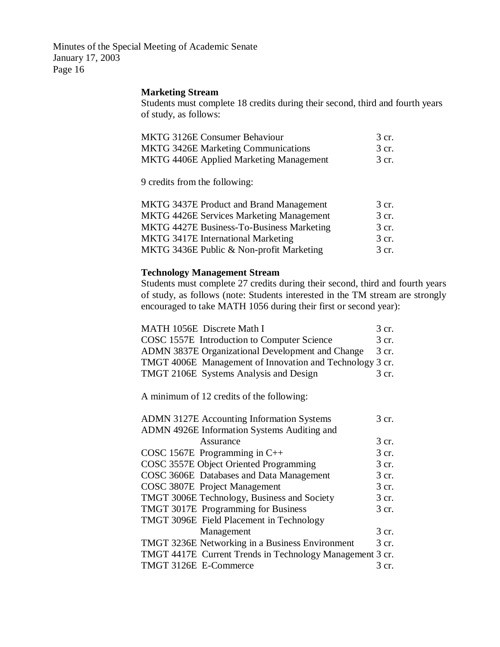### **Marketing Stream**

Students must complete 18 credits during their second, third and fourth years of study, as follows:

| MKTG 3126E Consumer Behaviour                  | 3 cr. |
|------------------------------------------------|-------|
| <b>MKTG 3426E Marketing Communications</b>     | 3 cr. |
| <b>MKTG 4406E Applied Marketing Management</b> | 3 cr. |

9 credits from the following:

| <b>MKTG 3437E Product and Brand Management</b>  | 3 cr. |
|-------------------------------------------------|-------|
| <b>MKTG 4426E Services Marketing Management</b> | 3 cr. |
| MKTG 4427E Business-To-Business Marketing       | 3 cr. |
| <b>MKTG 3417E International Marketing</b>       | 3 cr. |
| MKTG 3436E Public & Non-profit Marketing        | 3 cr. |

### **Technology Management Stream**

Students must complete 27 credits during their second, third and fourth years of study, as follows (note: Students interested in the TM stream are strongly encouraged to take MATH 1056 during their first or second year):

| MATH 1056E Discrete Math I                               | 3 cr. |
|----------------------------------------------------------|-------|
| COSC 1557E Introduction to Computer Science              | 3 cr. |
| ADMN 3837E Organizational Development and Change         | 3 cr. |
| TMGT 4006E Management of Innovation and Technology 3 cr. |       |
| TMGT 2106E Systems Analysis and Design                   | 3 cr. |

A minimum of 12 credits of the following:

| <b>ADMN 3127E Accounting Information Systems</b>         | 3 cr. |
|----------------------------------------------------------|-------|
| ADMN 4926E Information Systems Auditing and              |       |
| Assurance                                                | 3 cr. |
| COSC 1567E Programming in $C++$                          | 3 cr. |
| COSC 3557E Object Oriented Programming                   | 3 cr. |
| COSC 3606E Databases and Data Management                 | 3 cr. |
| COSC 3807E Project Management                            | 3 cr. |
| TMGT 3006E Technology, Business and Society              | 3 cr. |
| TMGT 3017E Programming for Business                      | 3 cr. |
| TMGT 3096E Field Placement in Technology                 |       |
| Management                                               | 3 cr. |
| <b>TMGT 3236E Networking in a Business Environment</b>   | 3 cr. |
| TMGT 4417E Current Trends in Technology Management 3 cr. |       |
| TMGT 3126E E-Commerce                                    | 3 cr. |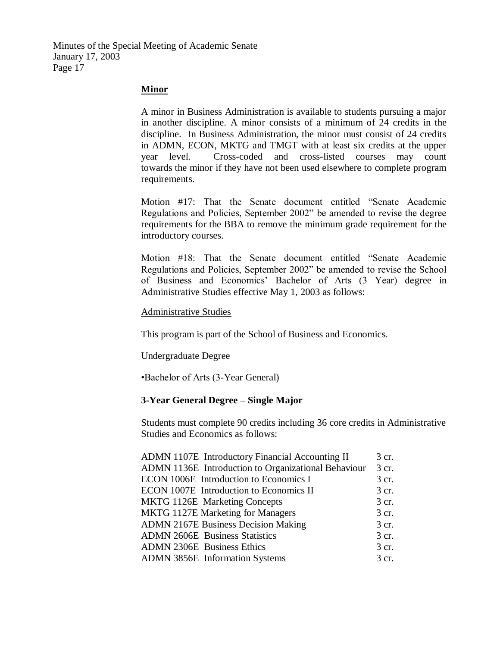### **Minor**

A minor in Business Administration is available to students pursuing a major in another discipline. A minor consists of a minimum of 24 credits in the discipline. In Business Administration, the minor must consist of 24 credits in ADMN, ECON, MKTG and TMGT with at least six credits at the upper year level. Cross-coded and cross-listed courses may count towards the minor if they have not been used elsewhere to complete program requirements.

Motion #17: That the Senate document entitled "Senate Academic Regulations and Policies, September 2002" be amended to revise the degree requirements for the BBA to remove the minimum grade requirement for the introductory courses.

Motion #18: That the Senate document entitled "Senate Academic Regulations and Policies, September 2002" be amended to revise the School of Business and Economics' Bachelor of Arts (3 Year) degree in Administrative Studies effective May 1, 2003 as follows:

#### Administrative Studies

This program is part of the School of Business and Economics.

#### Undergraduate Degree

•Bachelor of Arts (3-Year General)

### **3-Year General Degree – Single Major**

Students must complete 90 credits including 36 core credits in Administrative Studies and Economics as follows:

| ADMN 1107E Introductory Financial Accounting II     | 3 cr. |
|-----------------------------------------------------|-------|
| ADMN 1136E Introduction to Organizational Behaviour | 3 cr. |
| ECON 1006E Introduction to Economics I              | 3 cr. |
| ECON 1007E Introduction to Economics II             | 3 cr. |
| <b>MKTG 1126E</b> Marketing Concepts                | 3 cr. |
| MKTG 1127E Marketing for Managers                   | 3 cr. |
| <b>ADMN 2167E Business Decision Making</b>          | 3 cr. |
| <b>ADMN 2606E</b> Business Statistics               | 3 cr. |
| <b>ADMN 2306E</b> Business Ethics                   | 3 cr. |
| ADMN 3856E Information Systems                      | 3 cr. |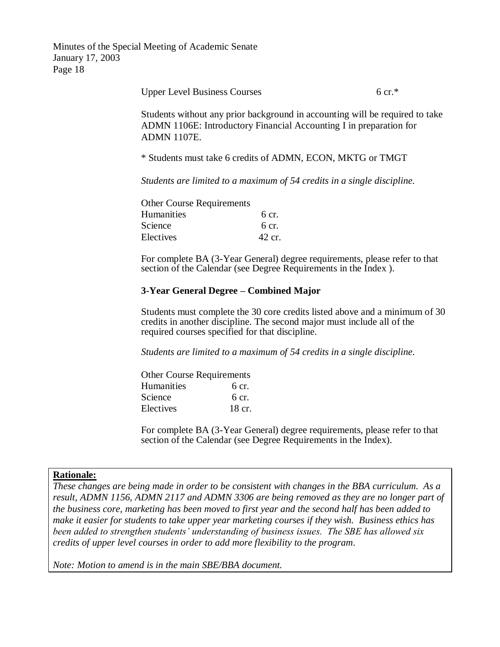Upper Level Business Courses 6 cr.\*

Students without any prior background in accounting will be required to take ADMN 1106E: Introductory Financial Accounting I in preparation for ADMN 1107E.

\* Students must take 6 credits of ADMN, ECON, MKTG or TMGT

*Students are limited to a maximum of 54 credits in a single discipline.*

| <b>Other Course Requirements</b> |                  |
|----------------------------------|------------------|
| <b>Humanities</b>                | $6 \text{ cr}$ . |
| Science                          | 6 cr.            |
| Electives                        | 42 cr.           |

For complete BA (3-Year General) degree requirements, please refer to that section of the Calendar (see Degree Requirements in the Index ).

### **3-Year General Degree – Combined Major**

Students must complete the 30 core credits listed above and a minimum of 30 credits in another discipline. The second major must include all of the required courses specified for that discipline.

*Students are limited to a maximum of 54 credits in a single discipline.*

| <b>Other Course Requirements</b> |        |
|----------------------------------|--------|
| Humanities                       | 6 cr.  |
| Science                          | 6 cr.  |
| Electives                        | 18 cr. |

For complete BA (3-Year General) degree requirements, please refer to that section of the Calendar (see Degree Requirements in the Index).

#### **Rationale:**

*These changes are being made in order to be consistent with changes in the BBA curriculum. As a result, ADMN 1156, ADMN 2117 and ADMN 3306 are being removed as they are no longer part of the business core, marketing has been moved to first year and the second half has been added to make it easier for students to take upper year marketing courses if they wish. Business ethics has been added to strengthen students' understanding of business issues. The SBE has allowed six credits of upper level courses in order to add more flexibility to the program.*

*Note: Motion to amend is in the main SBE/BBA document.*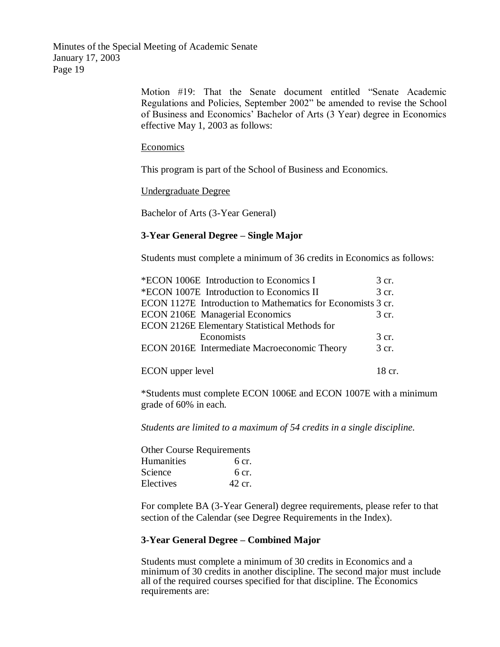> Motion #19: That the Senate document entitled "Senate Academic Regulations and Policies, September 2002" be amended to revise the School of Business and Economics' Bachelor of Arts (3 Year) degree in Economics effective May 1, 2003 as follows:

#### **Economics**

This program is part of the School of Business and Economics.

Undergraduate Degree

Bachelor of Arts (3-Year General)

### **3-Year General Degree – Single Major**

Students must complete a minimum of 36 credits in Economics as follows:

| *ECON 1006E Introduction to Economics I                     | 3 cr.  |
|-------------------------------------------------------------|--------|
| *ECON 1007E Introduction to Economics II                    | 3 cr.  |
| ECON 1127E Introduction to Mathematics for Economists 3 cr. |        |
| <b>ECON 2106E</b> Managerial Economics                      | 3 cr.  |
| ECON 2126E Elementary Statistical Methods for               |        |
| Economists                                                  | 3 cr.  |
| ECON 2016E Intermediate Macroeconomic Theory                | 3 cr.  |
|                                                             |        |
| ECON upper level                                            | 18 cr. |

\*Students must complete ECON 1006E and ECON 1007E with a minimum grade of 60% in each.

*Students are limited to a maximum of 54 credits in a single discipline.*

| <b>Other Course Requirements</b> |        |
|----------------------------------|--------|
| Humanities                       | 6 cr.  |
| Science                          | 6 cr.  |
| Electives                        | 42 cr. |

For complete BA (3-Year General) degree requirements, please refer to that section of the Calendar (see Degree Requirements in the Index).

#### **3-Year General Degree – Combined Major**

Students must complete a minimum of 30 credits in Economics and a minimum of 30 credits in another discipline. The second major must include all of the required courses specified for that discipline. The Economics requirements are: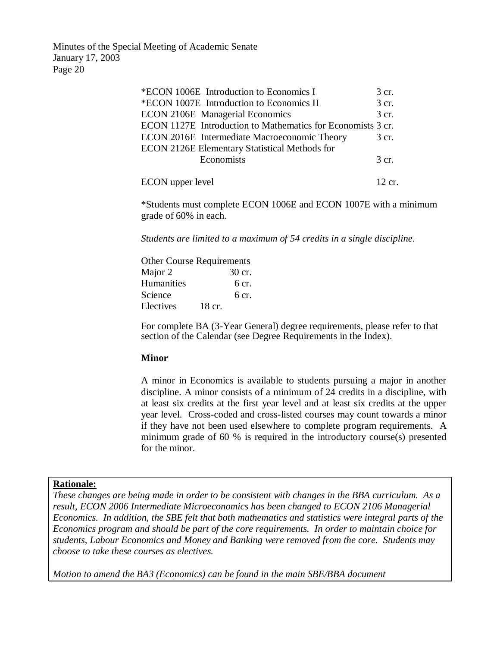| *ECON 1006E Introduction to Economics I                     | 3 cr.            |
|-------------------------------------------------------------|------------------|
| *ECON 1007E Introduction to Economics II                    | 3 cr.            |
| <b>ECON 2106E</b> Managerial Economics                      | 3 cr.            |
| ECON 1127E Introduction to Mathematics for Economists 3 cr. |                  |
| ECON 2016E Intermediate Macroeconomic Theory                | 3 cr.            |
| <b>ECON 2126E Elementary Statistical Methods for</b>        |                  |
| Economists                                                  | 3 cr.            |
| ECON upper level                                            | $12~\mathrm{cr}$ |

\*Students must complete ECON 1006E and ECON 1007E with a minimum grade of 60% in each.

*Students are limited to a maximum of 54 credits in a single discipline.*

| <b>Other Course Requirements</b> |        |  |
|----------------------------------|--------|--|
| Major 2                          | 30 cr. |  |
| Humanities                       | 6 cr.  |  |
| Science                          | 6 cr.  |  |
| Electives                        | 18 cr. |  |

For complete BA (3-Year General) degree requirements, please refer to that section of the Calendar (see Degree Requirements in the Index).

#### **Minor**

A minor in Economics is available to students pursuing a major in another discipline. A minor consists of a minimum of 24 credits in a discipline, with at least six credits at the first year level and at least six credits at the upper year level. Cross-coded and cross-listed courses may count towards a minor if they have not been used elsewhere to complete program requirements. A minimum grade of 60 % is required in the introductory course(s) presented for the minor.

#### **Rationale:**

*These changes are being made in order to be consistent with changes in the BBA curriculum. As a result, ECON 2006 Intermediate Microeconomics has been changed to ECON 2106 Managerial Economics. In addition, the SBE felt that both mathematics and statistics were integral parts of the Economics program and should be part of the core requirements. In order to maintain choice for students, Labour Economics and Money and Banking were removed from the core. Students may choose to take these courses as electives.*

*Motion to amend the BA3 (Economics) can be found in the main SBE/BBA document*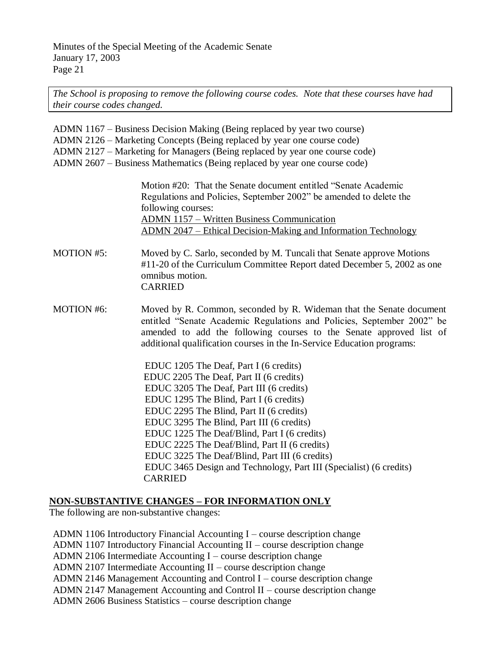*The School is proposing to remove the following course codes. Note that these courses have had their course codes changed.*

ADMN 1167 – Business Decision Making (Being replaced by year two course) ADMN 2126 – Marketing Concepts (Being replaced by year one course code) ADMN 2127 – Marketing for Managers (Being replaced by year one course code) ADMN 2607 – Business Mathematics (Being replaced by year one course code)

> Motion #20: That the Senate document entitled "Senate Academic Regulations and Policies, September 2002" be amended to delete the following courses: ADMN 1157 – Written Business Communication ADMN 2047 – Ethical Decision-Making and Information Technology

MOTION #5: Moved by C. Sarlo, seconded by M. Tuncali that Senate approve Motions #11-20 of the Curriculum Committee Report dated December 5, 2002 as one omnibus motion. CARRIED

MOTION #6: Moved by R. Common, seconded by R. Wideman that the Senate document entitled "Senate Academic Regulations and Policies, September 2002" be amended to add the following courses to the Senate approved list of additional qualification courses in the In-Service Education programs:

> EDUC 1205 The Deaf, Part I (6 credits) EDUC 2205 The Deaf, Part II (6 credits) EDUC 3205 The Deaf, Part III (6 credits) EDUC 1295 The Blind, Part I (6 credits) EDUC 2295 The Blind, Part II (6 credits) EDUC 3295 The Blind, Part III (6 credits) EDUC 1225 The Deaf/Blind, Part I (6 credits) EDUC 2225 The Deaf/Blind, Part II (6 credits) EDUC 3225 The Deaf/Blind, Part III (6 credits) EDUC 3465 Design and Technology, Part III (Specialist) (6 credits) CARRIED

## **NON-SUBSTANTIVE CHANGES – FOR INFORMATION ONLY**

The following are non-substantive changes:

ADMN 1106 Introductory Financial Accounting I – course description change ADMN 1107 Introductory Financial Accounting  $II$  – course description change ADMN 2106 Intermediate Accounting I – course description change ADMN 2107 Intermediate Accounting II – course description change ADMN 2146 Management Accounting and Control I – course description change ADMN 2147 Management Accounting and Control II – course description change ADMN 2606 Business Statistics – course description change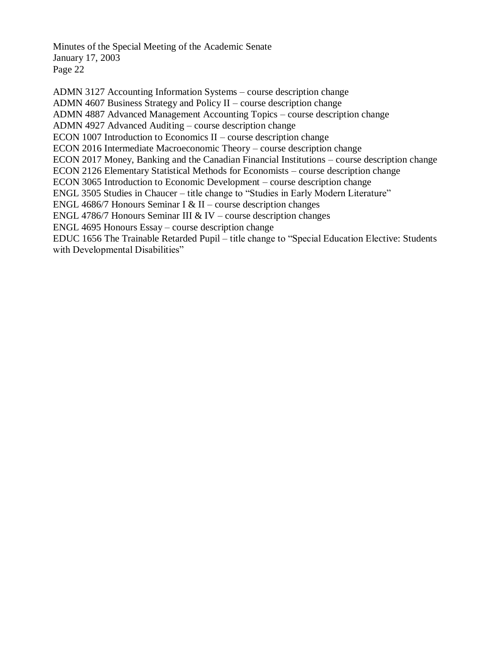ADMN 3127 Accounting Information Systems – course description change ADMN 4607 Business Strategy and Policy II – course description change ADMN 4887 Advanced Management Accounting Topics – course description change ADMN 4927 Advanced Auditing – course description change ECON 1007 Introduction to Economics II – course description change ECON 2016 Intermediate Macroeconomic Theory – course description change ECON 2017 Money, Banking and the Canadian Financial Institutions – course description change ECON 2126 Elementary Statistical Methods for Economists – course description change ECON 3065 Introduction to Economic Development – course description change ENGL 3505 Studies in Chaucer – title change to "Studies in Early Modern Literature" ENGL 4686/7 Honours Seminar I & II – course description changes ENGL 4786/7 Honours Seminar III & IV – course description changes ENGL 4695 Honours Essay – course description change EDUC 1656 The Trainable Retarded Pupil – title change to "Special Education Elective: Students with Developmental Disabilities"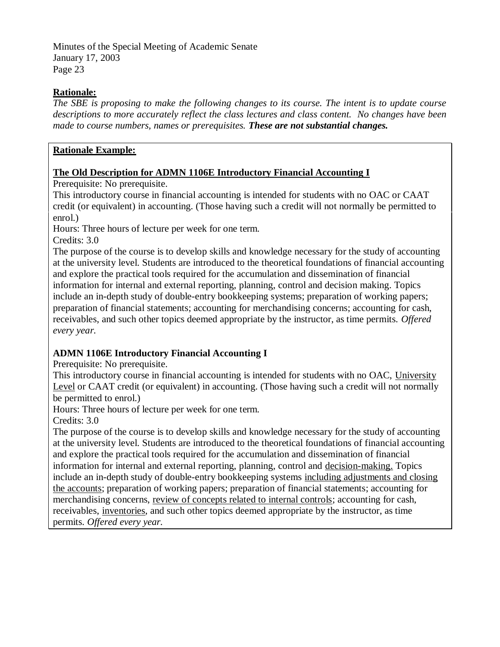## **Rationale:**

*The SBE is proposing to make the following changes to its course. The intent is to update course descriptions to more accurately reflect the class lectures and class content. No changes have been made to course numbers, names or prerequisites. These are not substantial changes.*

## **Rationale Example:**

## **The Old Description for ADMN 1106E Introductory Financial Accounting I**

Prerequisite: No prerequisite.

This introductory course in financial accounting is intended for students with no OAC or CAAT credit (or equivalent) in accounting. (Those having such a credit will not normally be permitted to enrol.)

Hours: Three hours of lecture per week for one term.

Credits: 3.0

The purpose of the course is to develop skills and knowledge necessary for the study of accounting at the university level. Students are introduced to the theoretical foundations of financial accounting and explore the practical tools required for the accumulation and dissemination of financial information for internal and external reporting, planning, control and decision making. Topics include an in-depth study of double-entry bookkeeping systems; preparation of working papers; preparation of financial statements; accounting for merchandising concerns; accounting for cash, receivables, and such other topics deemed appropriate by the instructor, as time permits. *Offered every year.*

# **ADMN 1106E Introductory Financial Accounting I**

Prerequisite: No prerequisite.

This introductory course in financial accounting is intended for students with no OAC, University Level or CAAT credit (or equivalent) in accounting. (Those having such a credit will not normally be permitted to enrol.)

Hours: Three hours of lecture per week for one term.

Credits: 3.0

The purpose of the course is to develop skills and knowledge necessary for the study of accounting at the university level. Students are introduced to the theoretical foundations of financial accounting and explore the practical tools required for the accumulation and dissemination of financial information for internal and external reporting, planning, control and decision-making. Topics include an in-depth study of double-entry bookkeeping systems including adjustments and closing the accounts; preparation of working papers; preparation of financial statements; accounting for merchandising concerns, review of concepts related to internal controls; accounting for cash, receivables, inventories, and such other topics deemed appropriate by the instructor, as time permits. *Offered every year.*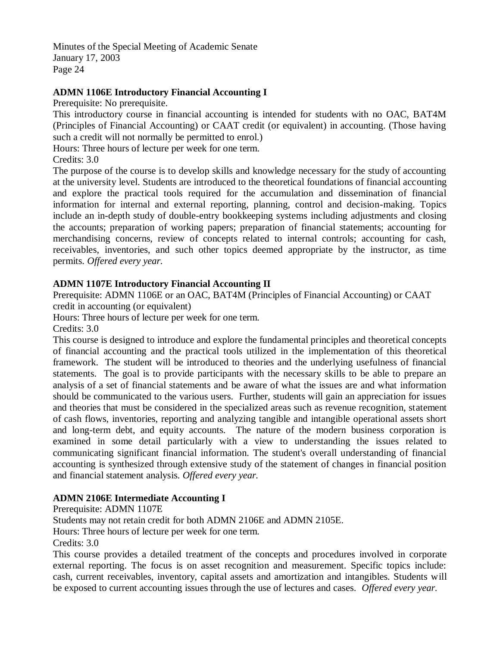# **ADMN 1106E Introductory Financial Accounting I**

Prerequisite: No prerequisite.

This introductory course in financial accounting is intended for students with no OAC, BAT4M (Principles of Financial Accounting) or CAAT credit (or equivalent) in accounting. (Those having such a credit will not normally be permitted to enrol.)

Hours: Three hours of lecture per week for one term.

Credits: 3.0

The purpose of the course is to develop skills and knowledge necessary for the study of accounting at the university level. Students are introduced to the theoretical foundations of financial accounting and explore the practical tools required for the accumulation and dissemination of financial information for internal and external reporting, planning, control and decision-making. Topics include an in-depth study of double-entry bookkeeping systems including adjustments and closing the accounts; preparation of working papers; preparation of financial statements; accounting for merchandising concerns, review of concepts related to internal controls; accounting for cash, receivables, inventories, and such other topics deemed appropriate by the instructor, as time permits. *Offered every year.*

## **ADMN 1107E Introductory Financial Accounting II**

Prerequisite: ADMN 1106E or an OAC, BAT4M (Principles of Financial Accounting) or CAAT credit in accounting (or equivalent)

Hours: Three hours of lecture per week for one term.

Credits: 3.0

This course is designed to introduce and explore the fundamental principles and theoretical concepts of financial accounting and the practical tools utilized in the implementation of this theoretical framework. The student will be introduced to theories and the underlying usefulness of financial statements. The goal is to provide participants with the necessary skills to be able to prepare an analysis of a set of financial statements and be aware of what the issues are and what information should be communicated to the various users. Further, students will gain an appreciation for issues and theories that must be considered in the specialized areas such as revenue recognition, statement of cash flows, inventories, reporting and analyzing tangible and intangible operational assets short and long-term debt, and equity accounts. The nature of the modern business corporation is examined in some detail particularly with a view to understanding the issues related to communicating significant financial information. The student's overall understanding of financial accounting is synthesized through extensive study of the statement of changes in financial position and financial statement analysis. *Offered every year.*

## **ADMN 2106E Intermediate Accounting I**

Prerequisite: ADMN 1107E

Students may not retain credit for both ADMN 2106E and ADMN 2105E.

Hours: Three hours of lecture per week for one term.

Credits: 3.0

This course provides a detailed treatment of the concepts and procedures involved in corporate external reporting. The focus is on asset recognition and measurement. Specific topics include: cash, current receivables, inventory, capital assets and amortization and intangibles. Students will be exposed to current accounting issues through the use of lectures and cases. *Offered every year.*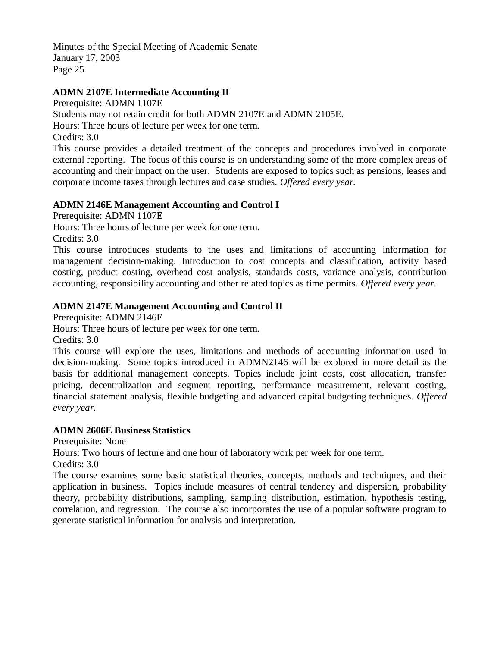# **ADMN 2107E Intermediate Accounting II**

Prerequisite: ADMN 1107E Students may not retain credit for both ADMN 2107E and ADMN 2105E. Hours: Three hours of lecture per week for one term. Credits: 3.0

This course provides a detailed treatment of the concepts and procedures involved in corporate external reporting. The focus of this course is on understanding some of the more complex areas of accounting and their impact on the user. Students are exposed to topics such as pensions, leases and corporate income taxes through lectures and case studies. *Offered every year.*

## **ADMN 2146E Management Accounting and Control I**

Prerequisite: ADMN 1107E

Hours: Three hours of lecture per week for one term.

Credits: 3.0

This course introduces students to the uses and limitations of accounting information for management decision-making. Introduction to cost concepts and classification, activity based costing, product costing, overhead cost analysis, standards costs, variance analysis, contribution accounting, responsibility accounting and other related topics as time permits. *Offered every year.*

## **ADMN 2147E Management Accounting and Control II**

Prerequisite: ADMN 2146E

Hours: Three hours of lecture per week for one term.

Credits: 3.0

This course will explore the uses, limitations and methods of accounting information used in decision-making. Some topics introduced in ADMN2146 will be explored in more detail as the basis for additional management concepts. Topics include joint costs, cost allocation, transfer pricing, decentralization and segment reporting, performance measurement, relevant costing, financial statement analysis, flexible budgeting and advanced capital budgeting techniques. *Offered every year.*

## **ADMN 2606E Business Statistics**

Prerequisite: None

Hours: Two hours of lecture and one hour of laboratory work per week for one term.

Credits: 3.0

The course examines some basic statistical theories, concepts, methods and techniques, and their application in business. Topics include measures of central tendency and dispersion, probability theory, probability distributions, sampling, sampling distribution, estimation, hypothesis testing, correlation, and regression. The course also incorporates the use of a popular software program to generate statistical information for analysis and interpretation.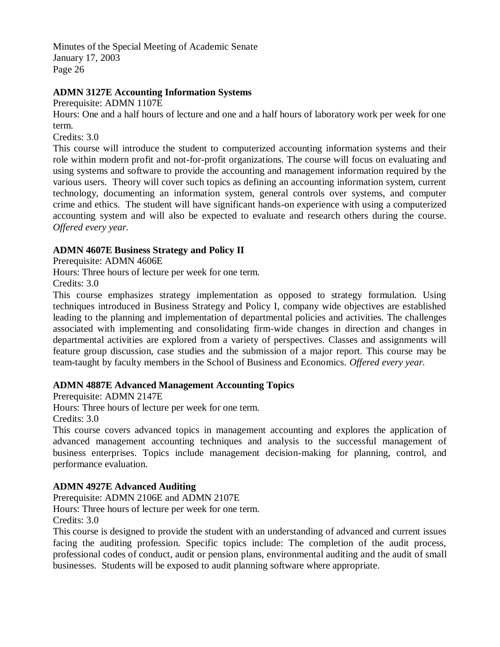## **ADMN 3127E Accounting Information Systems**

Prerequisite: ADMN 1107E

Hours: One and a half hours of lecture and one and a half hours of laboratory work per week for one term.

Credits: 3.0

This course will introduce the student to computerized accounting information systems and their role within modern profit and not-for-profit organizations. The course will focus on evaluating and using systems and software to provide the accounting and management information required by the various users. Theory will cover such topics as defining an accounting information system, current technology, documenting an information system, general controls over systems, and computer crime and ethics. The student will have significant hands-on experience with using a computerized accounting system and will also be expected to evaluate and research others during the course. *Offered every year.*

## **ADMN 4607E Business Strategy and Policy II**

Prerequisite: ADMN 4606E

Hours: Three hours of lecture per week for one term.

Credits: 3.0

This course emphasizes strategy implementation as opposed to strategy formulation. Using techniques introduced in Business Strategy and Policy I, company wide objectives are established leading to the planning and implementation of departmental policies and activities. The challenges associated with implementing and consolidating firm-wide changes in direction and changes in departmental activities are explored from a variety of perspectives. Classes and assignments will feature group discussion, case studies and the submission of a major report. This course may be team-taught by faculty members in the School of Business and Economics. *Offered every year.*

## **ADMN 4887E Advanced Management Accounting Topics**

Prerequisite: ADMN 2147E

Hours: Three hours of lecture per week for one term.

Credits: 3.0

This course covers advanced topics in management accounting and explores the application of advanced management accounting techniques and analysis to the successful management of business enterprises. Topics include management decision-making for planning, control, and performance evaluation.

## **ADMN 4927E Advanced Auditing**

Prerequisite: ADMN 2106E and ADMN 2107E

Hours: Three hours of lecture per week for one term.

Credits: 3.0

This course is designed to provide the student with an understanding of advanced and current issues facing the auditing profession. Specific topics include: The completion of the audit process, professional codes of conduct, audit or pension plans, environmental auditing and the audit of small businesses. Students will be exposed to audit planning software where appropriate.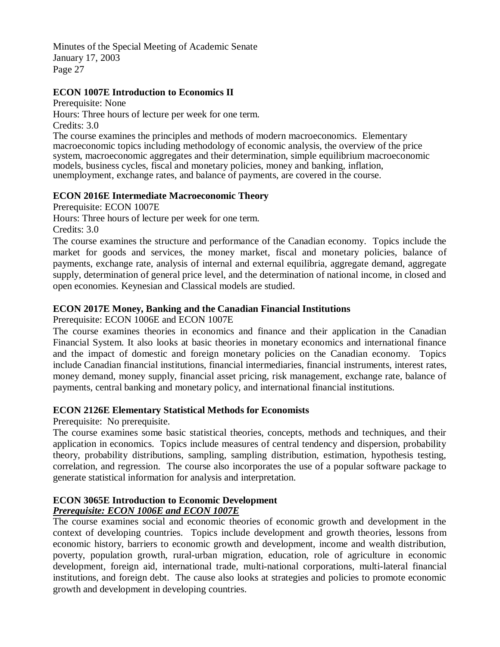## **ECON 1007E Introduction to Economics II**

Prerequisite: None Hours: Three hours of lecture per week for one term. Credits: 3.0

The course examines the principles and methods of modern macroeconomics. Elementary macroeconomic topics including methodology of economic analysis, the overview of the price system, macroeconomic aggregates and their determination, simple equilibrium macroeconomic models, business cycles, fiscal and monetary policies, money and banking, inflation, unemployment, exchange rates, and balance of payments, are covered in the course.

## **ECON 2016E Intermediate Macroeconomic Theory**

Prerequisite: ECON 1007E

Hours: Three hours of lecture per week for one term.

Credits: 3.0

The course examines the structure and performance of the Canadian economy. Topics include the market for goods and services, the money market, fiscal and monetary policies, balance of payments, exchange rate, analysis of internal and external equilibria, aggregate demand, aggregate supply, determination of general price level, and the determination of national income, in closed and open economies. Keynesian and Classical models are studied.

# **ECON 2017E Money, Banking and the Canadian Financial Institutions**

Prerequisite: ECON 1006E and ECON 1007E

The course examines theories in economics and finance and their application in the Canadian Financial System. It also looks at basic theories in monetary economics and international finance and the impact of domestic and foreign monetary policies on the Canadian economy. Topics include Canadian financial institutions, financial intermediaries, financial instruments, interest rates, money demand, money supply, financial asset pricing, risk management, exchange rate, balance of payments, central banking and monetary policy, and international financial institutions.

## **ECON 2126E Elementary Statistical Methods for Economists**

Prerequisite: No prerequisite.

The course examines some basic statistical theories, concepts, methods and techniques, and their application in economics. Topics include measures of central tendency and dispersion, probability theory, probability distributions, sampling, sampling distribution, estimation, hypothesis testing, correlation, and regression. The course also incorporates the use of a popular software package to generate statistical information for analysis and interpretation.

### **ECON 3065E Introduction to Economic Development**  *Prerequisite: ECON 1006E and ECON 1007E*

The course examines social and economic theories of economic growth and development in the context of developing countries. Topics include development and growth theories, lessons from economic history, barriers to economic growth and development, income and wealth distribution, poverty, population growth, rural-urban migration, education, role of agriculture in economic development, foreign aid, international trade, multi-national corporations, multi-lateral financial institutions, and foreign debt. The cause also looks at strategies and policies to promote economic growth and development in developing countries.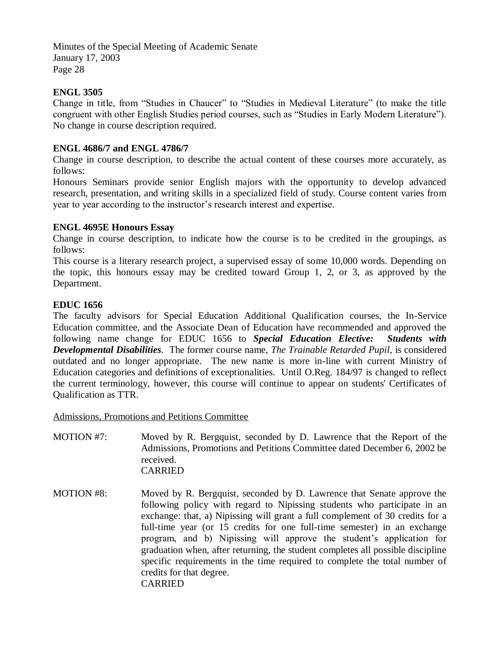## **ENGL 3505**

Change in title, from "Studies in Chaucer" to "Studies in Medieval Literature" (to make the title congruent with other English Studies period courses, such as "Studies in Early Modern Literature"). No change in course description required.

### **ENGL 4686/7 and ENGL 4786/7**

Change in course description, to describe the actual content of these courses more accurately, as follows:

Honours Seminars provide senior English majors with the opportunity to develop advanced research, presentation, and writing skills in a specialized field of study. Course content varies from year to year according to the instructor's research interest and expertise.

### **ENGL 4695E Honours Essay**

Change in course description, to indicate how the course is to be credited in the groupings, as follows:

This course is a literary research project, a supervised essay of some 10,000 words. Depending on the topic, this honours essay may be credited toward Group 1, 2, or 3, as approved by the Department.

### **EDUC 1656**

The faculty advisors for Special Education Additional Qualification courses, the In-Service Education committee, and the Associate Dean of Education have recommended and approved the following name change for EDUC 1656 to *Special Education Elective: Students with Developmental Disabilities*. The former course name, *The Trainable Retarded Pupil*, is considered outdated and no longer appropriate. The new name is more in-line with current Ministry of Education categories and definitions of exceptionalities. Until O.Reg. 184/97 is changed to reflect the current terminology, however, this course will continue to appear on students' Certificates of Qualification as TTR.

Admissions, Promotions and Petitions Committee

- MOTION #7: Moved by R. Bergquist, seconded by D. Lawrence that the Report of the Admissions, Promotions and Petitions Committee dated December 6, 2002 be received. CARRIED
- MOTION #8: Moved by R. Bergquist, seconded by D. Lawrence that Senate approve the following policy with regard to Nipissing students who participate in an exchange: that, a) Nipissing will grant a full complement of 30 credits for a full-time year (or 15 credits for one full-time semester) in an exchange program, and b) Nipissing will approve the student's application for graduation when, after returning, the student completes all possible discipline specific requirements in the time required to complete the total number of credits for that degree. CARRIED